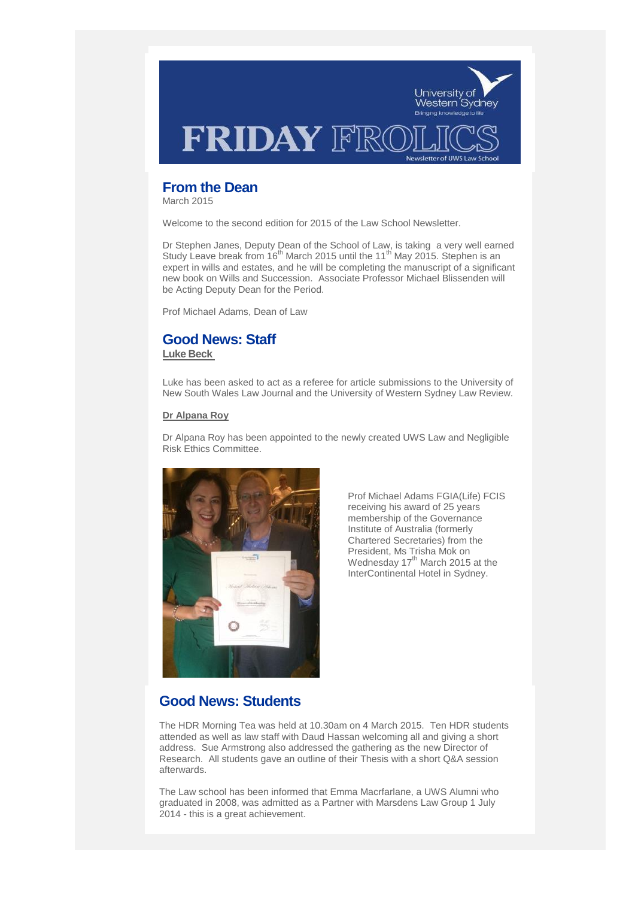

# **From the Dean**

March 2015

Welcome to the second edition for 2015 of the Law School Newsletter

Dr Stephen Janes, Deputy Dean of the School of Law, is taking a very well earned Study Leave break from  $16^{th}$  March 2015 until the 11<sup>th</sup> May 2015. Stephen is an expert in wills and estates, and he will be completing the manuscript of a significant new book on Wills and Succession. Associate Professor Michael Blissenden will be Acting Deputy Dean for the Period.

Prof Michael Adams, Dean of Law

## **Good News: Staff**

**Luke Beck**

Luke has been asked to act as a referee for article submissions to the University of New South Wales Law Journal and the University of Western Sydney Law Review.

## **Dr Alpana Roy**

Dr Alpana Roy has been appointed to the newly created UWS Law and Negligible Risk Ethics Committee.



Prof Michael Adams FGIA(Life) FCIS receiving his award of 25 years membership of the Governance Institute of Australia (formerly Chartered Secretaries) from the President, Ms Trisha Mok on Wednesday 17<sup>th</sup> March 2015 at the InterContinental Hotel in Sydney.

# **Good News: Students**

The HDR Morning Tea was held at 10.30am on 4 March 2015. Ten HDR students attended as well as law staff with Daud Hassan welcoming all and giving a short address. Sue Armstrong also addressed the gathering as the new Director of Research. All students gave an outline of their Thesis with a short Q&A session afterwards.

The Law school has been informed that Emma Macrfarlane, a UWS Alumni who graduated in 2008, was admitted as a Partner with Marsdens Law Group 1 July 2014 - this is a great achievement.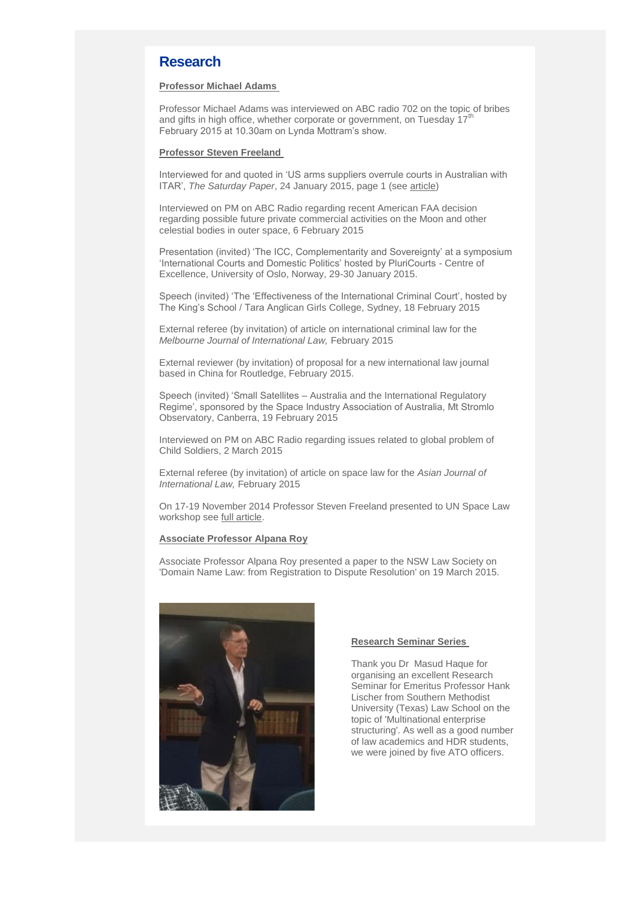## **Research**

### **Professor Michael Adams**

Professor Michael Adams was interviewed on ABC radio 702 on the topic of bribes and gifts in high office, whether corporate or government, on Tuesday  $17<sup>†</sup>$ February 2015 at 10.30am on Lynda Mottram's show.

#### **Professor Steven Freeland**

Interviewed for and quoted in 'US arms suppliers overrule courts in Australian with ITAR', *The Saturday Paper*, 24 January 2015, page 1 (see [article\)](https://www.thesaturdaypaper.com.au/news/defence/2015/01/24/us-arms-suppliers-overrule-courts-australia-with-itar/14220180001416#.VMObBi4po11)

Interviewed on PM on ABC Radio regarding recent American FAA decision regarding possible future private commercial activities on the Moon and other celestial bodies in outer space, 6 February 2015

Presentation (invited) 'The ICC, Complementarity and Sovereignty' at a symposium 'International Courts and Domestic Politics' hosted by PluriCourts - Centre of Excellence, University of Oslo, Norway, 29-30 January 2015.

Speech (invited) 'The 'Effectiveness of the International Criminal Court', hosted by The King's School / Tara Anglican Girls College, Sydney, 18 February 2015

External referee (by invitation) of article on international criminal law for the *Melbourne Journal of International Law,* February 2015

External reviewer (by invitation) of proposal for a new international law journal based in China for Routledge, February 2015.

Speech (invited) 'Small Satellites – Australia and the International Regulatory Regime', sponsored by the Space Industry Association of Australia, Mt Stromlo Observatory, Canberra, 19 February 2015

Interviewed on PM on ABC Radio regarding issues related to global problem of Child Soldiers, 2 March 2015

External referee (by invitation) of article on space law for the *Asian Journal of International Law,* February 2015

On 17-19 November 2014 Professor Steven Freeland presented to UN Space Law workshop see [full article.](http://www.uws.edu.au/auws/arounduws_home_page/uws_professor_presents_at_un_space_law_workshop)

### **Associate Professor Alpana Roy**

Associate Professor Alpana Roy presented a paper to the NSW Law Society on 'Domain Name Law: from Registration to Dispute Resolution' on 19 March 2015.



#### **Research Seminar Series**

Thank you Dr Masud Haque for organising an excellent Research Seminar for Emeritus Professor Hank Lischer from Southern Methodist University (Texas) Law School on the topic of 'Multinational enterprise structuring'. As well as a good number of law academics and HDR students, we were joined by five ATO officers.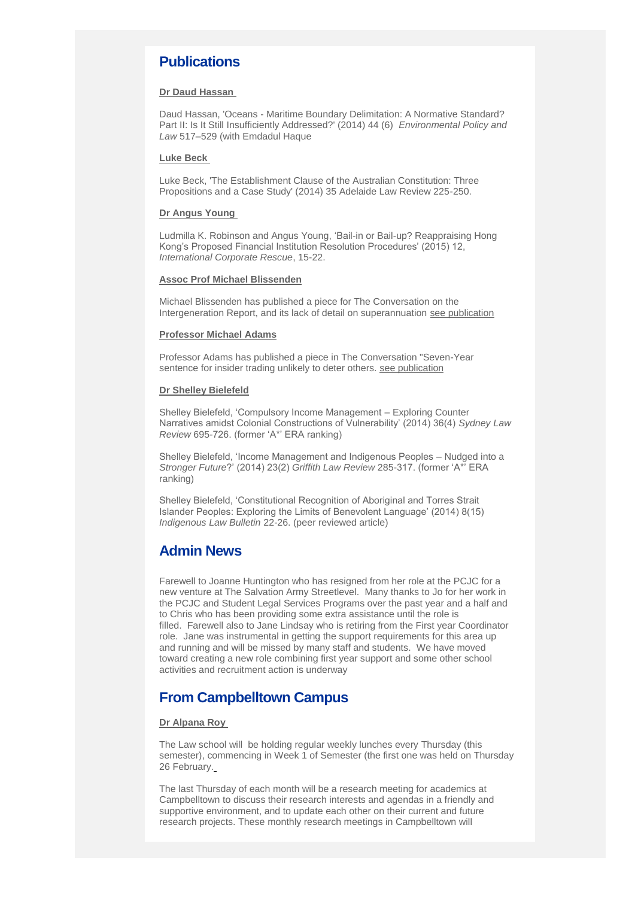# **Publications**

#### **Dr Daud Hassan**

Daud Hassan, 'Oceans - Maritime Boundary Delimitation: A Normative Standard? Part II: Is It Still Insufficiently Addressed?' (2014) 44 (6) *Environmental Policy and Law* 517–529 (with Emdadul Haque

#### **Luke Beck**

Luke Beck, 'The Establishment Clause of the Australian Constitution: Three Propositions and a Case Study' (2014) 35 Adelaide Law Review 225-250.

#### **Dr Angus Young**

Ludmilla K. Robinson and Angus Young, 'Bail-in or Bail-up? Reappraising Hong Kong's Proposed Financial Institution Resolution Procedures' (2015) 12, *International Corporate Rescue*, 15-22.

#### **Assoc Prof Michael Blissenden**

Michael Blissenden has published a piece for The Conversation on the Intergeneration Report, and its lack of detail on superannuation [see publication](http://theconversation.com/superannuation-missing-from-the-igrs-ageing-narrative-38379)

#### **Professor Michael Adams**

Professor Adams has published a piece in The Conversation "Seven-Year sentence for insider trading unlikely to deter others. [see publication](https://theconversation.com/seven-year-sentence-for-insider-trading-unlikely-to-deter-others-38916)

### **Dr Shelley Bielefeld**

Shelley Bielefeld, 'Compulsory Income Management – Exploring Counter Narratives amidst Colonial Constructions of Vulnerability' (2014) 36(4) *Sydney Law Review* 695-726. (former 'A\*' ERA ranking)

Shelley Bielefeld, 'Income Management and Indigenous Peoples – Nudged into a *Stronger Future*?' (2014) 23(2) *Griffith Law Review* 285-317. (former 'A\*' ERA ranking)

Shelley Bielefeld, 'Constitutional Recognition of Aboriginal and Torres Strait Islander Peoples: Exploring the Limits of Benevolent Language' (2014) 8(15) *Indigenous Law Bulletin* 22-26. (peer reviewed article)

## **Admin News**

Farewell to Joanne Huntington who has resigned from her role at the PCJC for a new venture at The Salvation Army Streetlevel. Many thanks to Jo for her work in the PCJC and Student Legal Services Programs over the past year and a half and to Chris who has been providing some extra assistance until the role is filled. Farewell also to Jane Lindsay who is retiring from the First year Coordinator role. Jane was instrumental in getting the support requirements for this area up and running and will be missed by many staff and students. We have moved toward creating a new role combining first year support and some other school activities and recruitment action is underway

## **From Campbelltown Campus**

### **Dr Alpana Roy**

The Law school will be holding regular weekly lunches every Thursday (this semester), commencing in Week 1 of Semester (the first one was held on Thursday 26 February.

The last Thursday of each month will be a research meeting for academics at Campbelltown to discuss their research interests and agendas in a friendly and supportive environment, and to update each other on their current and future research projects. These monthly research meetings in Campbelltown will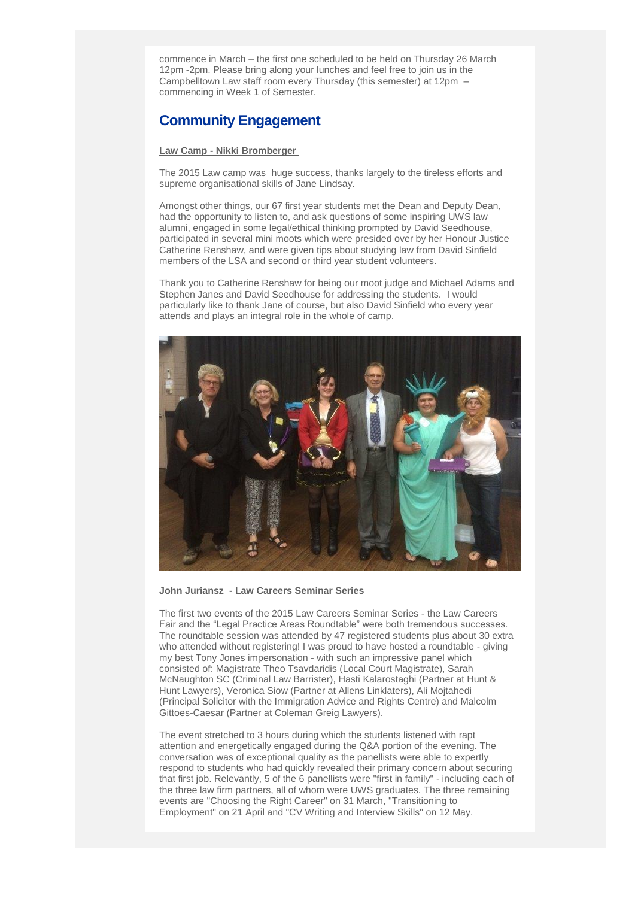commence in March – the first one scheduled to be held on Thursday 26 March 12pm -2pm. Please bring along your lunches and feel free to join us in the Campbelltown Law staff room every Thursday (this semester) at 12pm – commencing in Week 1 of Semester.

# **Community Engagement**

### **Law Camp - Nikki Bromberger**

The 2015 Law camp was huge success, thanks largely to the tireless efforts and supreme organisational skills of Jane Lindsay.

Amongst other things, our 67 first year students met the Dean and Deputy Dean, had the opportunity to listen to, and ask questions of some inspiring UWS law alumni, engaged in some legal/ethical thinking prompted by David Seedhouse, participated in several mini moots which were presided over by her Honour Justice Catherine Renshaw, and were given tips about studying law from David Sinfield members of the LSA and second or third year student volunteers.

Thank you to Catherine Renshaw for being our moot judge and Michael Adams and Stephen Janes and David Seedhouse for addressing the students. I would particularly like to thank Jane of course, but also David Sinfield who every year attends and plays an integral role in the whole of camp.



### **John Juriansz - Law Careers Seminar Series**

The first two events of the 2015 Law Careers Seminar Series - the Law Careers Fair and the "Legal Practice Areas Roundtable" were both tremendous successes. The roundtable session was attended by 47 registered students plus about 30 extra who attended without registering! I was proud to have hosted a roundtable - giving my best Tony Jones impersonation - with such an impressive panel which consisted of: Magistrate Theo Tsavdaridis (Local Court Magistrate), Sarah McNaughton SC (Criminal Law Barrister), Hasti Kalarostaghi (Partner at Hunt & Hunt Lawyers), Veronica Siow (Partner at Allens Linklaters), Ali Mojtahedi (Principal Solicitor with the Immigration Advice and Rights Centre) and Malcolm Gittoes-Caesar (Partner at Coleman Greig Lawyers).

The event stretched to 3 hours during which the students listened with rapt attention and energetically engaged during the Q&A portion of the evening. The conversation was of exceptional quality as the panellists were able to expertly respond to students who had quickly revealed their primary concern about securing that first job. Relevantly, 5 of the 6 panellists were "first in family" - including each of the three law firm partners, all of whom were UWS graduates. The three remaining events are "Choosing the Right Career" on 31 March, "Transitioning to Employment" on 21 April and "CV Writing and Interview Skills" on 12 May.